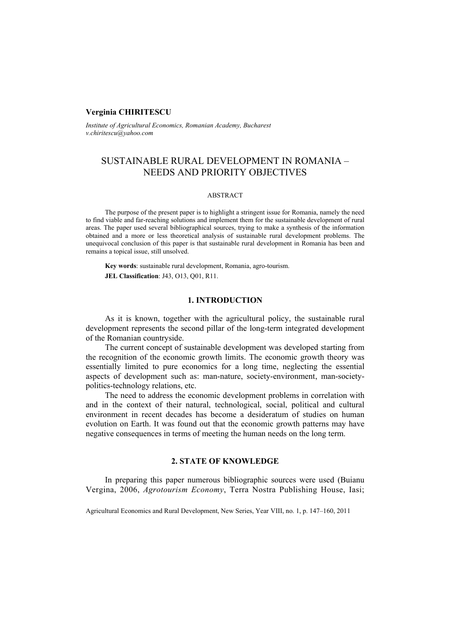## **Verginia CHIRITESCU**

*Institute of Agricultural Economics, Romanian Academy, Bucharest v.chiritescu@yahoo.com*

# SUSTAINABLE RURAL DEVELOPMENT IN ROMANIA – NEEDS AND PRIORITY OBJECTIVES

#### ABSTRACT

The purpose of the present paper is to highlight a stringent issue for Romania, namely the need to find viable and far-reaching solutions and implement them for the sustainable development of rural areas. The paper used several bibliographical sources, trying to make a synthesis of the information obtained and a more or less theoretical analysis of sustainable rural development problems. The unequivocal conclusion of this paper is that sustainable rural development in Romania has been and remains a topical issue, still unsolved.

**Key words**: sustainable rural development, Romania, agro-tourism. **JEL Classification**: J43, O13, Q01, R11.

### **1. INTRODUCTION**

As it is known, together with the agricultural policy, the sustainable rural development represents the second pillar of the long-term integrated development of the Romanian countryside.

The current concept of sustainable development was developed starting from the recognition of the economic growth limits. The economic growth theory was essentially limited to pure economics for a long time, neglecting the essential aspects of development such as: man-nature, society-environment, man-societypolitics-technology relations, etc.

The need to address the economic development problems in correlation with and in the context of their natural, technological, social, political and cultural environment in recent decades has become a desideratum of studies on human evolution on Earth. It was found out that the economic growth patterns may have negative consequences in terms of meeting the human needs on the long term.

# **2. STATE OF KNOWLEDGE**

In preparing this paper numerous bibliographic sources were used (Buianu Vergina, 2006, *Agrotourism Economy*, Terra Nostra Publishing House, Iasi;

Agricultural Economics and Rural Development, New Series, Year VIII, no. 1, p. 147–160, 2011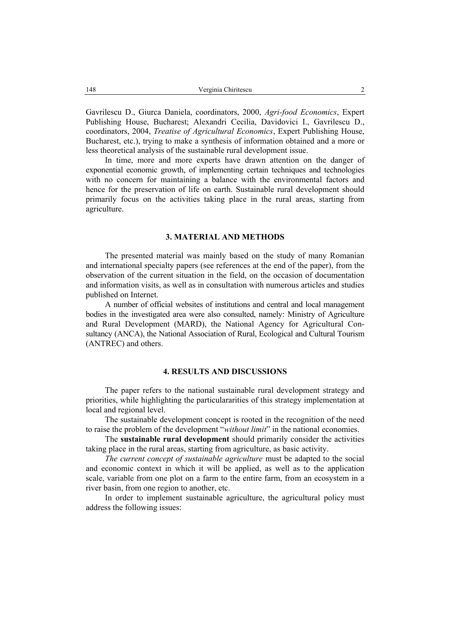Gavrilescu D., Giurca Daniela, coordinators, 2000, *Agri-food Economics*, Expert Publishing House, Bucharest; Alexandri Cecilia, Davidovici I., Gavrilescu D., coordinators, 2004, *Treatise of Agricultural Economics*, Expert Publishing House, Bucharest, etc.), trying to make a synthesis of information obtained and a more or less theoretical analysis of the sustainable rural development issue.

In time, more and more experts have drawn attention on the danger of exponential economic growth, of implementing certain techniques and technologies with no concern for maintaining a balance with the environmental factors and hence for the preservation of life on earth. Sustainable rural development should primarily focus on the activities taking place in the rural areas, starting from agriculture.

# **3. MATERIAL AND METHODS**

The presented material was mainly based on the study of many Romanian and international specialty papers (see references at the end of the paper), from the observation of the current situation in the field, on the occasion of documentation and information visits, as well as in consultation with numerous articles and studies published on Internet.

A number of official websites of institutions and central and local management bodies in the investigated area were also consulted, namely: Ministry of Agriculture and Rural Development (MARD), the National Agency for Agricultural Consultancy (ANCA), the National Association of Rural, Ecological and Cultural Tourism (ANTREC) and others.

## **4. RESULTS AND DISCUSSIONS**

The paper refers to the national sustainable rural development strategy and priorities, while highlighting the particulararities of this strategy implementation at local and regional level.

The sustainable development concept is rooted in the recognition of the need to raise the problem of the development "*without limit*" in the national economies.

The **sustainable rural development** should primarily consider the activities taking place in the rural areas, starting from agriculture, as basic activity.

*The current concept of sustainable agriculture* must be adapted to the social and economic context in which it will be applied, as well as to the application scale, variable from one plot on a farm to the entire farm, from an ecosystem in a river basin, from one region to another, etc.

In order to implement sustainable agriculture, the agricultural policy must address the following issues: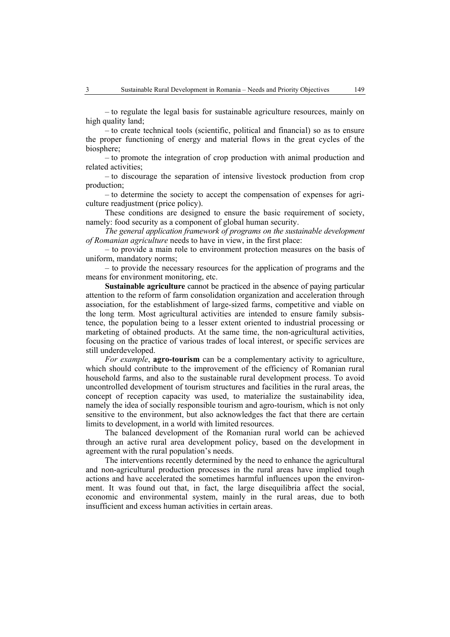– to regulate the legal basis for sustainable agriculture resources, mainly on high quality land;

– to create technical tools (scientific, political and financial) so as to ensure the proper functioning of energy and material flows in the great cycles of the biosphere;

– to promote the integration of crop production with animal production and related activities;

– to discourage the separation of intensive livestock production from crop production;

– to determine the society to accept the compensation of expenses for agriculture readjustment (price policy).

These conditions are designed to ensure the basic requirement of society, namely: food security as a component of global human security.

*The general application framework of programs on the sustainable development of Romanian agriculture* needs to have in view, in the first place:

– to provide a main role to environment protection measures on the basis of uniform, mandatory norms;

– to provide the necessary resources for the application of programs and the means for environment monitoring, etc.

**Sustainable agriculture** cannot be practiced in the absence of paying particular attention to the reform of farm consolidation organization and acceleration through association, for the establishment of large-sized farms, competitive and viable on the long term. Most agricultural activities are intended to ensure family subsistence, the population being to a lesser extent oriented to industrial processing or marketing of obtained products. At the same time, the non-agricultural activities, focusing on the practice of various trades of local interest, or specific services are still underdeveloped.

*For example*, **agro-tourism** can be a complementary activity to agriculture, which should contribute to the improvement of the efficiency of Romanian rural household farms, and also to the sustainable rural development process. To avoid uncontrolled development of tourism structures and facilities in the rural areas, the concept of reception capacity was used, to materialize the sustainability idea, namely the idea of socially responsible tourism and agro-tourism, which is not only sensitive to the environment, but also acknowledges the fact that there are certain limits to development, in a world with limited resources.

The balanced development of the Romanian rural world can be achieved through an active rural area development policy, based on the development in agreement with the rural population's needs.

The interventions recently determined by the need to enhance the agricultural and non-agricultural production processes in the rural areas have implied tough actions and have accelerated the sometimes harmful influences upon the environment. It was found out that, in fact, the large disequilibria affect the social, economic and environmental system, mainly in the rural areas, due to both insufficient and excess human activities in certain areas.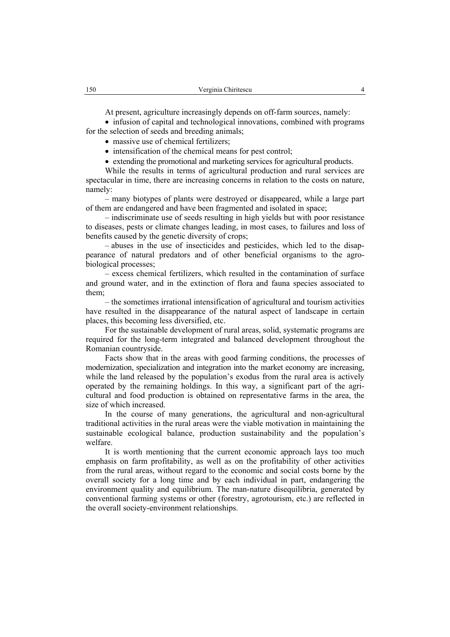At present, agriculture increasingly depends on off-farm sources, namely:

• infusion of capital and technological innovations, combined with programs for the selection of seeds and breeding animals;

• massive use of chemical fertilizers;

• intensification of the chemical means for pest control;

• extending the promotional and marketing services for agricultural products.

While the results in terms of agricultural production and rural services are spectacular in time, there are increasing concerns in relation to the costs on nature, namely:

– many biotypes of plants were destroyed or disappeared, while a large part of them are endangered and have been fragmented and isolated in space;

– indiscriminate use of seeds resulting in high yields but with poor resistance to diseases, pests or climate changes leading, in most cases, to failures and loss of benefits caused by the genetic diversity of crops;

– abuses in the use of insecticides and pesticides, which led to the disappearance of natural predators and of other beneficial organisms to the agrobiological processes;

– excess chemical fertilizers, which resulted in the contamination of surface and ground water, and in the extinction of flora and fauna species associated to them;

– the sometimes irrational intensification of agricultural and tourism activities have resulted in the disappearance of the natural aspect of landscape in certain places, this becoming less diversified, etc.

For the sustainable development of rural areas, solid, systematic programs are required for the long-term integrated and balanced development throughout the Romanian countryside.

Facts show that in the areas with good farming conditions, the processes of modernization, specialization and integration into the market economy are increasing, while the land released by the population's exodus from the rural area is actively operated by the remaining holdings. In this way, a significant part of the agricultural and food production is obtained on representative farms in the area, the size of which increased.

In the course of many generations, the agricultural and non-agricultural traditional activities in the rural areas were the viable motivation in maintaining the sustainable ecological balance, production sustainability and the population's welfare.

It is worth mentioning that the current economic approach lays too much emphasis on farm profitability, as well as on the profitability of other activities from the rural areas, without regard to the economic and social costs borne by the overall society for a long time and by each individual in part, endangering the environment quality and equilibrium. The man-nature disequilibria, generated by conventional farming systems or other (forestry, agrotourism, etc.) are reflected in the overall society-environment relationships.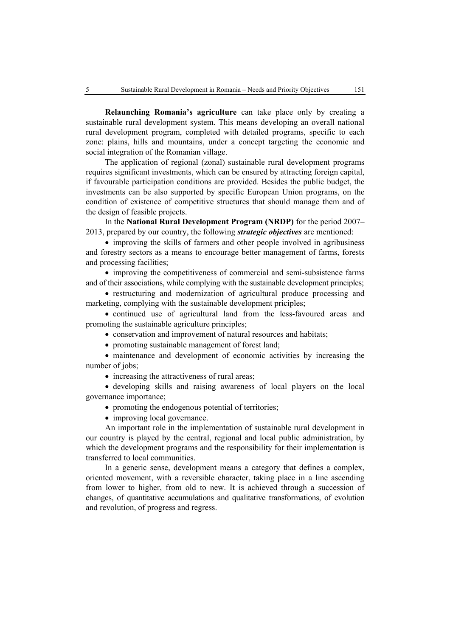**Relaunching Romania's agriculture** can take place only by creating a sustainable rural development system. This means developing an overall national rural development program, completed with detailed programs, specific to each zone: plains, hills and mountains, under a concept targeting the economic and social integration of the Romanian village.

The application of regional (zonal) sustainable rural development programs requires significant investments, which can be ensured by attracting foreign capital, if favourable participation conditions are provided. Besides the public budget, the investments can be also supported by specific European Union programs, on the condition of existence of competitive structures that should manage them and of the design of feasible projects.

In the **National Rural Development Program (NRDP)** for the period 2007– 2013, prepared by our country, the following *strategic objectives* are mentioned:

• improving the skills of farmers and other people involved in agribusiness and forestry sectors as a means to encourage better management of farms, forests and processing facilities;

• improving the competitiveness of commercial and semi-subsistence farms and of their associations, while complying with the sustainable development principles;

• restructuring and modernization of agricultural produce processing and marketing, complying with the sustainable development priciples;

• continued use of agricultural land from the less-favoured areas and promoting the sustainable agriculture principles;

• conservation and improvement of natural resources and habitats;

• promoting sustainable management of forest land;

• maintenance and development of economic activities by increasing the number of jobs;

• increasing the attractiveness of rural areas;

• developing skills and raising awareness of local players on the local governance importance;

- promoting the endogenous potential of territories;
- improving local governance.

An important role in the implementation of sustainable rural development in our country is played by the central, regional and local public administration, by which the development programs and the responsibility for their implementation is transferred to local communities.

In a generic sense, development means a category that defines a complex, oriented movement, with a reversible character, taking place in a line ascending from lower to higher, from old to new. It is achieved through a succession of changes, of quantitative accumulations and qualitative transformations, of evolution and revolution, of progress and regress.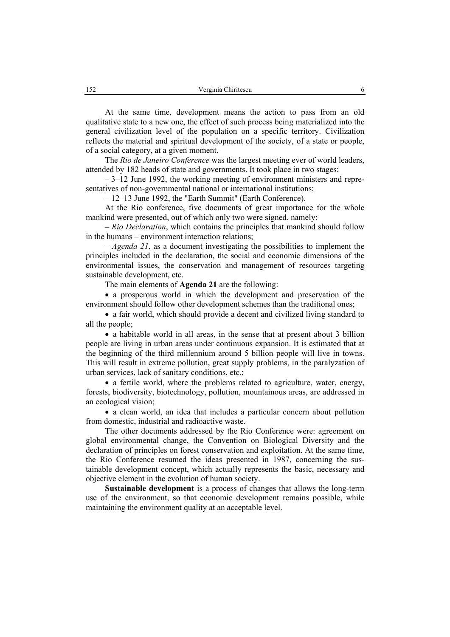At the same time, development means the action to pass from an old qualitative state to a new one, the effect of such process being materialized into the general civilization level of the population on a specific territory. Civilization reflects the material and spiritual development of the society, of a state or people, of a social category, at a given moment.

The *Rio de Janeiro Conference* was the largest meeting ever of world leaders, attended by 182 heads of state and governments. It took place in two stages:

– 3–12 June 1992, the working meeting of environment ministers and representatives of non-governmental national or international institutions;

– 12–13 June 1992, the "Earth Summit" (Earth Conference).

At the Rio conference, five documents of great importance for the whole mankind were presented, out of which only two were signed, namely:

– *Rio Declaration*, which contains the principles that mankind should follow in the humans – environment interaction relations;

– *Agenda 21*, as a document investigating the possibilities to implement the principles included in the declaration, the social and economic dimensions of the environmental issues, the conservation and management of resources targeting sustainable development, etc.

The main elements of **Agenda 21** are the following:

• a prosperous world in which the development and preservation of the environment should follow other development schemes than the traditional ones;

• a fair world, which should provide a decent and civilized living standard to all the people;

• a habitable world in all areas, in the sense that at present about 3 billion people are living in urban areas under continuous expansion. It is estimated that at the beginning of the third millennium around 5 billion people will live in towns. This will result in extreme pollution, great supply problems, in the paralyzation of urban services, lack of sanitary conditions, etc.;

• a fertile world, where the problems related to agriculture, water, energy, forests, biodiversity, biotechnology, pollution, mountainous areas, are addressed in an ecological vision;

• a clean world, an idea that includes a particular concern about pollution from domestic, industrial and radioactive waste.

The other documents addressed by the Rio Conference were: agreement on global environmental change, the Convention on Biological Diversity and the declaration of principles on forest conservation and exploitation. At the same time, the Rio Conference resumed the ideas presented in 1987, concerning the sustainable development concept, which actually represents the basic, necessary and objective element in the evolution of human society.

**Sustainable development** is a process of changes that allows the long-term use of the environment, so that economic development remains possible, while maintaining the environment quality at an acceptable level.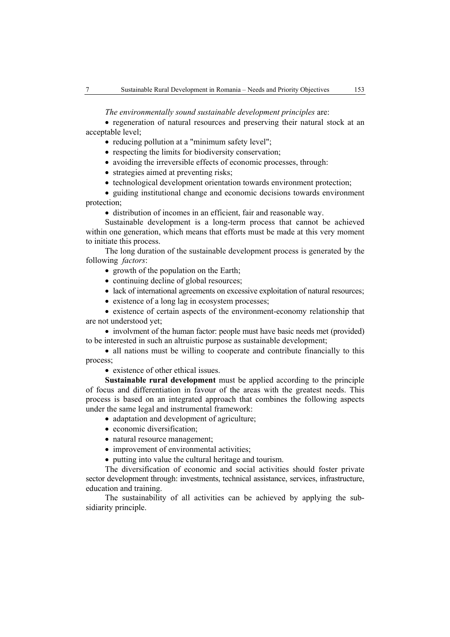## *The environmentally sound sustainable development principles* are:

• regeneration of natural resources and preserving their natural stock at an acceptable level;

- reducing pollution at a "minimum safety level";
- respecting the limits for biodiversity conservation;
- avoiding the irreversible effects of economic processes, through:
- strategies aimed at preventing risks;
- technological development orientation towards environment protection;

• guiding institutional change and economic decisions towards environment protection;

• distribution of incomes in an efficient, fair and reasonable way.

Sustainable development is a long-term process that cannot be achieved within one generation, which means that efforts must be made at this very moment to initiate this process.

The long duration of the sustainable development process is generated by the following *factors*:

- growth of the population on the Earth;
- continuing decline of global resources;
- lack of international agreements on excessive exploitation of natural resources;
- existence of a long lag in ecosystem processes;

• existence of certain aspects of the environment-economy relationship that are not understood yet;

• involvment of the human factor: people must have basic needs met (provided) to be interested in such an altruistic purpose as sustainable development;

• all nations must be willing to cooperate and contribute financially to this process;

• existence of other ethical issues.

**Sustainable rural development** must be applied according to the principle of focus and differentiation in favour of the areas with the greatest needs. This process is based on an integrated approach that combines the following aspects under the same legal and instrumental framework:

- adaptation and development of agriculture:
- economic diversification:
- natural resource management;
- improvement of environmental activities;
- putting into value the cultural heritage and tourism.

The diversification of economic and social activities should foster private sector development through: investments, technical assistance, services, infrastructure, education and training.

The sustainability of all activities can be achieved by applying the subsidiarity principle.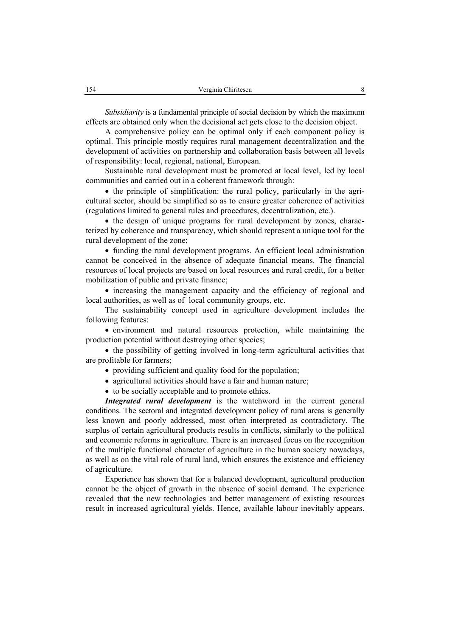*Subsidiarity* is a fundamental principle of social decision by which the maximum effects are obtained only when the decisional act gets close to the decision object.

A comprehensive policy can be optimal only if each component policy is optimal. This principle mostly requires rural management decentralization and the development of activities on partnership and collaboration basis between all levels of responsibility: local, regional, national, European.

Sustainable rural development must be promoted at local level, led by local communities and carried out in a coherent framework through:

• the principle of simplification: the rural policy, particularly in the agricultural sector, should be simplified so as to ensure greater coherence of activities (regulations limited to general rules and procedures, decentralization, etc.).

• the design of unique programs for rural development by zones, characterized by coherence and transparency, which should represent a unique tool for the rural development of the zone;

• funding the rural development programs. An efficient local administration cannot be conceived in the absence of adequate financial means. The financial resources of local projects are based on local resources and rural credit, for a better mobilization of public and private finance;

• increasing the management capacity and the efficiency of regional and local authorities, as well as of local community groups, etc.

The sustainability concept used in agriculture development includes the following features:

• environment and natural resources protection, while maintaining the production potential without destroying other species;

• the possibility of getting involved in long-term agricultural activities that are profitable for farmers;

- providing sufficient and quality food for the population;
- agricultural activities should have a fair and human nature;
- to be socially acceptable and to promote ethics.

*Integrated rural development* is the watchword in the current general conditions. The sectoral and integrated development policy of rural areas is generally less known and poorly addressed, most often interpreted as contradictory. The surplus of certain agricultural products results in conflicts, similarly to the political and economic reforms in agriculture. There is an increased focus on the recognition of the multiple functional character of agriculture in the human society nowadays, as well as on the vital role of rural land, which ensures the existence and efficiency of agriculture.

Experience has shown that for a balanced development, agricultural production cannot be the object of growth in the absence of social demand. The experience revealed that the new technologies and better management of existing resources result in increased agricultural yields. Hence, available labour inevitably appears.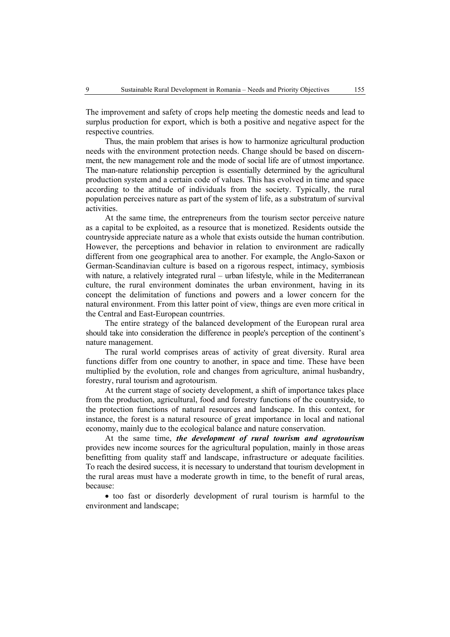The improvement and safety of crops help meeting the domestic needs and lead to surplus production for export, which is both a positive and negative aspect for the respective countries.

Thus, the main problem that arises is how to harmonize agricultural production needs with the environment protection needs. Change should be based on discernment, the new management role and the mode of social life are of utmost importance. The man-nature relationship perception is essentially determined by the agricultural production system and a certain code of values. This has evolved in time and space according to the attitude of individuals from the society. Typically, the rural population perceives nature as part of the system of life, as a substratum of survival activities.

At the same time, the entrepreneurs from the tourism sector perceive nature as a capital to be exploited, as a resource that is monetized. Residents outside the countryside appreciate nature as a whole that exists outside the human contribution. However, the perceptions and behavior in relation to environment are radically different from one geographical area to another. For example, the Anglo-Saxon or German-Scandinavian culture is based on a rigorous respect, intimacy, symbiosis with nature, a relatively integrated rural – urban lifestyle, while in the Mediterranean culture, the rural environment dominates the urban environment, having in its concept the delimitation of functions and powers and a lower concern for the natural environment. From this latter point of view, things are even more critical in the Central and East-European countrries.

The entire strategy of the balanced development of the European rural area should take into consideration the difference in people's perception of the continent's nature management.

The rural world comprises areas of activity of great diversity. Rural area functions differ from one country to another, in space and time. These have been multiplied by the evolution, role and changes from agriculture, animal husbandry, forestry, rural tourism and agrotourism.

At the current stage of society development, a shift of importance takes place from the production, agricultural, food and forestry functions of the countryside, to the protection functions of natural resources and landscape. In this context, for instance, the forest is a natural resource of great importance in local and national economy, mainly due to the ecological balance and nature conservation.

At the same time, *the development of rural tourism and agrotourism* provides new income sources for the agricultural population, mainly in those areas benefitting from quality staff and landscape, infrastructure or adequate facilities. To reach the desired success, it is necessary to understand that tourism development in the rural areas must have a moderate growth in time, to the benefit of rural areas, because:

• too fast or disorderly development of rural tourism is harmful to the environment and landscape;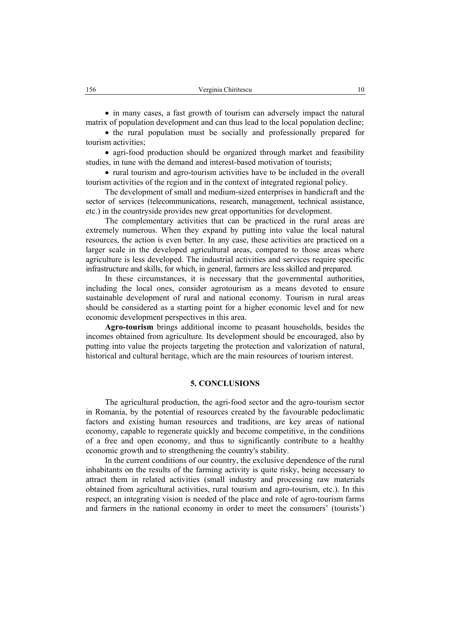• in many cases, a fast growth of tourism can adversely impact the natural matrix of population development and can thus lead to the local population decline;

• the rural population must be socially and professionally prepared for tourism activities;

• agri-food production should be organized through market and feasibility studies, in tune with the demand and interest-based motivation of tourists;

• rural tourism and agro-tourism activities have to be included in the overall tourism activities of the region and in the context of integrated regional policy.

The development of small and medium-sized enterprises in handicraft and the sector of services (telecommunications, research, management, technical assistance, etc.) in the countryside provides new great opportunities for development.

The complementary activities that can be practiced in the rural areas are extremely numerous. When they expand by putting into value the local natural resources, the action is even better. In any case, these activities are practiced on a larger scale in the developed agricultural areas, compared to those areas where agriculture is less developed. The industrial activities and services require specific infrastructure and skills, for which, in general, farmers are less skilled and prepared.

In these circumstances, it is necessary that the governmental authorities, including the local ones, consider agrotourism as a means devoted to ensure sustainable development of rural and national economy. Tourism in rural areas should be considered as a starting point for a higher economic level and for new economic development perspectives in this area.

**Agro-tourism** brings additional income to peasant households, besides the incomes obtained from agriculture. Its development should be encouraged, also by putting into value the projects targeting the protection and valorization of natural, historical and cultural heritage, which are the main resources of tourism interest.

### **5. CONCLUSIONS**

The agricultural production, the agri-food sector and the agro-tourism sector in Romania, by the potential of resources created by the favourable pedoclimatic factors and existing human resources and traditions, are key areas of national economy, capable to regenerate quickly and become competitive, in the conditions of a free and open economy, and thus to significantly contribute to a healthy economic growth and to strengthening the country's stability.

In the current conditions of our country, the exclusive dependence of the rural inhabitants on the results of the farming activity is quite risky, being necessary to attract them in related activities (small industry and processing raw materials obtained from agricultural activities, rural tourism and agro-tourism, etc.). In this respect, an integrating vision is needed of the place and role of agro-tourism farms and farmers in the national economy in order to meet the consumers' (tourists')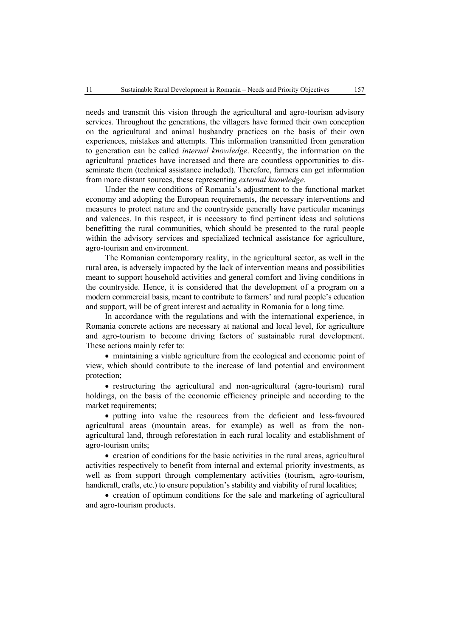needs and transmit this vision through the agricultural and agro-tourism advisory services. Throughout the generations, the villagers have formed their own conception on the agricultural and animal husbandry practices on the basis of their own experiences, mistakes and attempts. This information transmitted from generation to generation can be called *internal knowledge*. Recently, the information on the agricultural practices have increased and there are countless opportunities to disseminate them (technical assistance included). Therefore, farmers can get information from more distant sources, these representing *external knowledge*.

Under the new conditions of Romania's adjustment to the functional market economy and adopting the European requirements, the necessary interventions and measures to protect nature and the countryside generally have particular meanings and valences. In this respect, it is necessary to find pertinent ideas and solutions benefitting the rural communities, which should be presented to the rural people within the advisory services and specialized technical assistance for agriculture, agro-tourism and environment.

The Romanian contemporary reality, in the agricultural sector, as well in the rural area, is adversely impacted by the lack of intervention means and possibilities meant to support household activities and general comfort and living conditions in the countryside. Hence, it is considered that the development of a program on a modern commercial basis, meant to contribute to farmers' and rural people's education and support, will be of great interest and actuality in Romania for a long time.

In accordance with the regulations and with the international experience, in Romania concrete actions are necessary at national and local level, for agriculture and agro-tourism to become driving factors of sustainable rural development. These actions mainly refer to:

• maintaining a viable agriculture from the ecological and economic point of view, which should contribute to the increase of land potential and environment protection;

• restructuring the agricultural and non-agricultural (agro-tourism) rural holdings, on the basis of the economic efficiency principle and according to the market requirements;

• putting into value the resources from the deficient and less-favoured agricultural areas (mountain areas, for example) as well as from the nonagricultural land, through reforestation in each rural locality and establishment of agro-tourism units;

• creation of conditions for the basic activities in the rural areas, agricultural activities respectively to benefit from internal and external priority investments, as well as from support through complementary activities (tourism, agro-tourism, handicraft, crafts, etc.) to ensure population's stability and viability of rural localities;

• creation of optimum conditions for the sale and marketing of agricultural and agro-tourism products.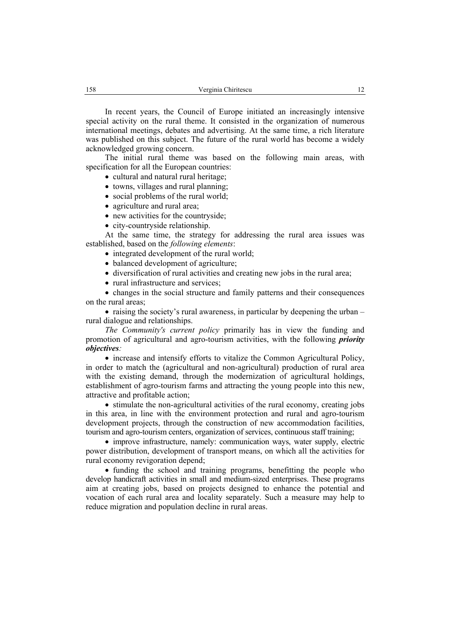In recent years, the Council of Europe initiated an increasingly intensive special activity on the rural theme. It consisted in the organization of numerous international meetings, debates and advertising. At the same time, a rich literature was published on this subject. The future of the rural world has become a widely acknowledged growing concern.

The initial rural theme was based on the following main areas, with specification for all the European countries:

- cultural and natural rural heritage:
- towns, villages and rural planning;
- social problems of the rural world;
- agriculture and rural area:
- new activities for the countryside;
- city-countryside relationship.

At the same time, the strategy for addressing the rural area issues was established, based on the *following elements*:

- integrated development of the rural world;
- balanced development of agriculture;
- diversification of rural activities and creating new jobs in the rural area;
- rural infrastructure and services;

• changes in the social structure and family patterns and their consequences on the rural areas;

• raising the society's rural awareness, in particular by deepening the urban – rural dialogue and relationships.

*The Community's current policy* primarily has in view the funding and promotion of agricultural and agro-tourism activities, with the following *priority objectives:*

• increase and intensify efforts to vitalize the Common Agricultural Policy, in order to match the (agricultural and non-agricultural) production of rural area with the existing demand, through the modernization of agricultural holdings, establishment of agro-tourism farms and attracting the young people into this new, attractive and profitable action;

• stimulate the non-agricultural activities of the rural economy, creating jobs in this area, in line with the environment protection and rural and agro-tourism development projects, through the construction of new accommodation facilities, tourism and agro-tourism centers, organization of services, continuous staff training;

• improve infrastructure, namely: communication ways, water supply, electric power distribution, development of transport means, on which all the activities for rural economy revigoration depend;

• funding the school and training programs, benefitting the people who develop handicraft activities in small and medium-sized enterprises. These programs aim at creating jobs, based on projects designed to enhance the potential and vocation of each rural area and locality separately. Such a measure may help to reduce migration and population decline in rural areas.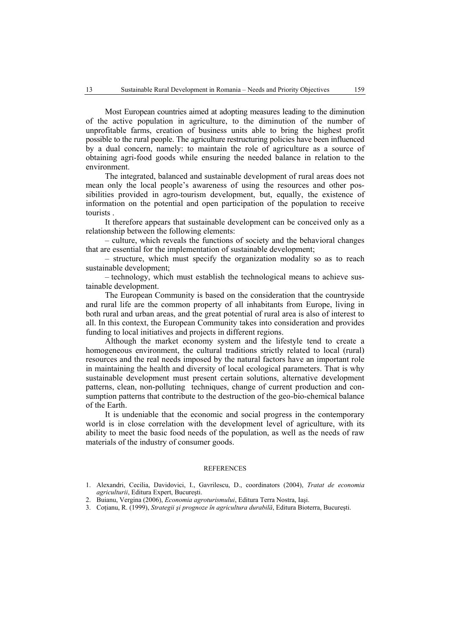Most European countries aimed at adopting measures leading to the diminution of the active population in agriculture, to the diminution of the number of unprofitable farms, creation of business units able to bring the highest profit possible to the rural people. The agriculture restructuring policies have been influenced by a dual concern, namely: to maintain the role of agriculture as a source of obtaining agri-food goods while ensuring the needed balance in relation to the environment.

The integrated, balanced and sustainable development of rural areas does not mean only the local people's awareness of using the resources and other possibilities provided in agro-tourism development, but, equally, the existence of information on the potential and open participation of the population to receive tourists .

It therefore appears that sustainable development can be conceived only as a relationship between the following elements:

– culture, which reveals the functions of society and the behavioral changes that are essential for the implementation of sustainable development;

– structure, which must specify the organization modality so as to reach sustainable development;

– technology, which must establish the technological means to achieve sustainable development.

The European Community is based on the consideration that the countryside and rural life are the common property of all inhabitants from Europe, living in both rural and urban areas, and the great potential of rural area is also of interest to all. In this context, the European Community takes into consideration and provides funding to local initiatives and projects in different regions.

Although the market economy system and the lifestyle tend to create a homogeneous environment, the cultural traditions strictly related to local (rural) resources and the real needs imposed by the natural factors have an important role in maintaining the health and diversity of local ecological parameters. That is why sustainable development must present certain solutions, alternative development patterns, clean, non-polluting techniques, change of current production and consumption patterns that contribute to the destruction of the geo-bio-chemical balance of the Earth.

It is undeniable that the economic and social progress in the contemporary world is in close correlation with the development level of agriculture, with its ability to meet the basic food needs of the population, as well as the needs of raw materials of the industry of consumer goods.

#### **REFERENCES**

- 1. Alexandri, Cecilia, Davidovici, I., Gavrilescu, D., coordinators (2004), *Tratat de economia agriculturii*, Editura Expert, Bucureşti.
- 2. Buianu, Vergina (2006), *Economia agroturismului*, Editura Terra Nostra, Iaşi.
- 3. Coţianu, R. (1999), *Strategii şi prognoze în agricultura durabilă*, Editura Bioterra, Bucureşti.